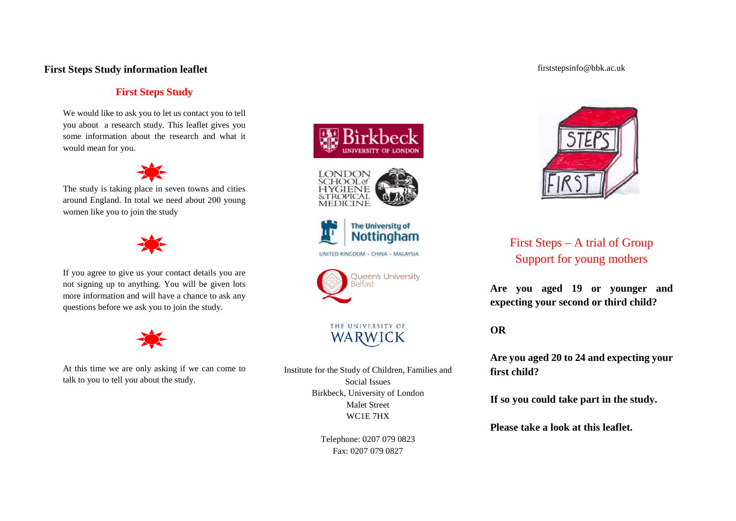## **First Steps Study information leaflet**

# **First Steps Study**

We would like to ask you to let us contact you to tell you about a research study. This leaflet gives you some information about the research and what it would mean for you.



The study is taking place in seven towns and cities around England. In total we need about 200 young women like you to join the study



If you agree to give us your contact details you are not signing up to anything. You will be given lots more information and will have a chance to ask any questions before we ask you to join the study.



At this time we are only asking if we can come to talk to you to tell you about the study.







UNITED KINGDOM - CHINA - MALAYSIA



THE UNIVERSITY OF WARWICK

Institute for the Study of Children, Families and Social Issues Birkbeck, University of London Malet Street WC1E 7HX

> Telephone: 0207 079 0823 Fax: 0207 079 0827

### firststepsinfo@bbk.ac.uk



First Steps – A trial of Group Support for young mothers

**Are you aged 19 or younger and expecting your second or third child?**

**OR**

**Are you aged 20 to 24 and expecting your first child?**

**If so you could take part in the study.**

**Please take a look at this leaflet.**